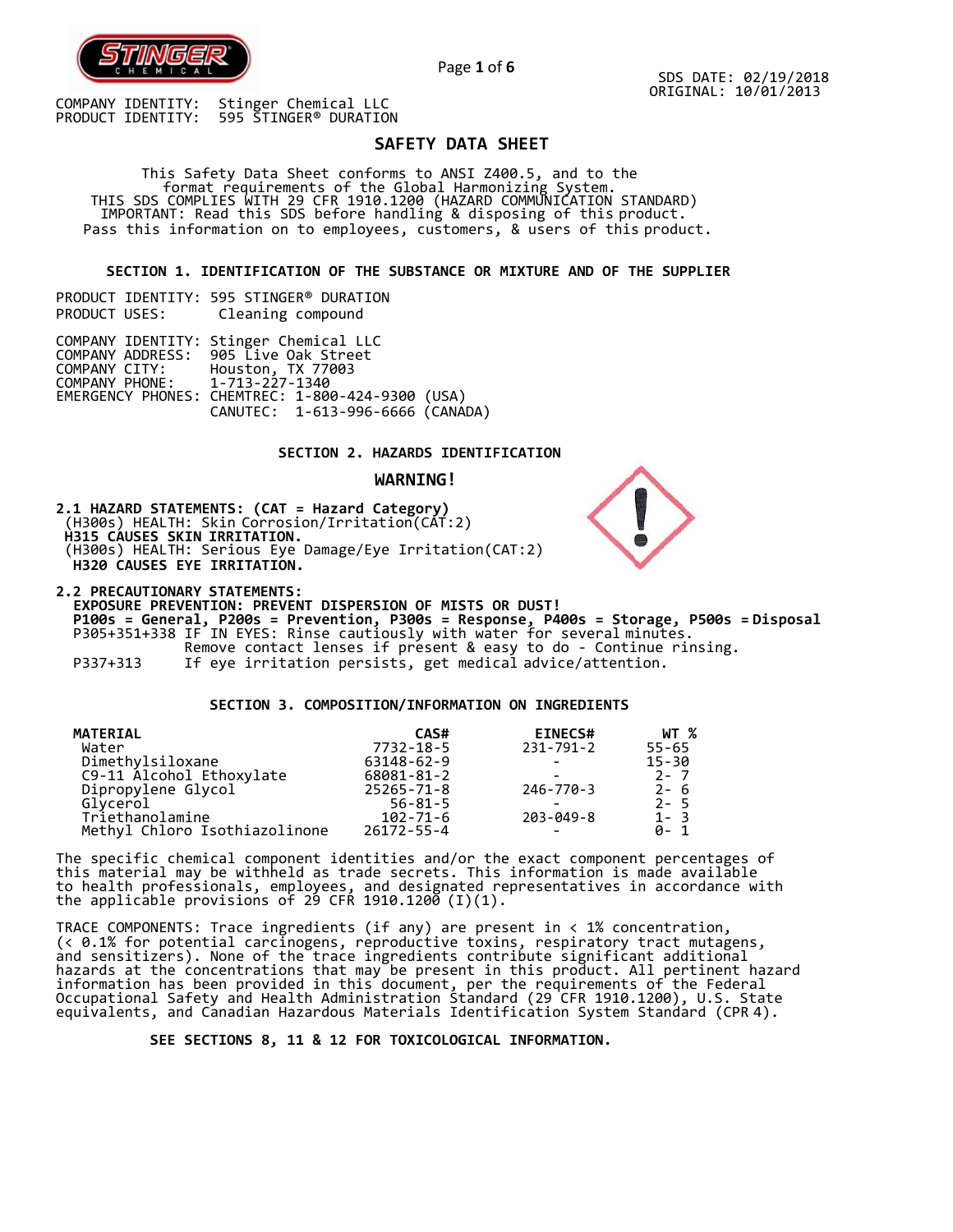

# **SAFETY DATA SHEET**

This Safety Data Sheet conforms to ANSI Z400.5, and to the format requirements of the Global Harmonizing System. THIS SDS COMPLIES WITH 29 CFR 1910.1200 (HAZARD COMMUNICATION STANDARD) IMPORTANT: Read this SDS before handling & disposing of this product. Pass this information on to employees, customers, & users of this product.

**SECTION 1. IDENTIFICATION OF THE SUBSTANCE OR MIXTURE AND OF THE SUPPLIER**

PRODUCT IDENTITY: 595 STINGER® DURATION<br>PRODUCT USES: Cleaning compound Cleaning compound

|                               | COMPANY IDENTITY: Stinger Chemical LLC           |
|-------------------------------|--------------------------------------------------|
|                               | COMPANY ADDRESS: 905 Live Oak Street             |
| COMPANY CITY:                 | Houston, TX 77003                                |
| COMPANY PHONE: 1-713-227-1340 |                                                  |
|                               | EMERGENCY PHONES: CHEMTREC: 1-800-424-9300 (USA) |
|                               | CANUTEC: 1-613-996-6666 (CANADA)                 |

## **SECTION 2. HAZARDS IDENTIFICATION**

## **WARNING!**

**2.1 HAZARD STATEMENTS: (CAT = Hazard Category)**  (H300s) HEALTH: Skin Corrosion/Irritation(CAT:2) **H315 CAUSES SKIN IRRITATION.** (H300s) HEALTH: Serious Eye Damage/Eye Irritation(CAT:2) **H320 CAUSES EYE IRRITATION.**

**2.2 PRECAUTIONARY STATEMENTS: EXPOSURE PREVENTION: PREVENT DISPERSION OF MISTS OR DUST! P100s = General, P200s = Prevention, P300s = Response, P400s = Storage, P500s = Disposal** P305+351+338 IF IN EYES: Rinse cautiously with water for several minutes. Remove contact lenses if present & easy to do - Continue rinsing. P337+313 If eye irritation persists, get medical advice/attention.

**SECTION 3. COMPOSITION/INFORMATION ON INGREDIENTS**

| <b>MATERIAL</b>               | CAS#             | <b>EINECS#</b>  | WT %      |
|-------------------------------|------------------|-----------------|-----------|
| Water                         | 7732-18-5        | $231 - 791 - 2$ | $55 - 65$ |
| Dimethylsiloxane              | 63148-62-9       |                 | $15 - 30$ |
| C9-11 Alcohol Ethoxylate      | 68081-81-2       |                 | $2 - 7$   |
| Dipropylene Glycol            | $25265 - 71 - 8$ | 246-770-3       | $2 - 6$   |
| Glycerol                      | $56 - 81 - 5$    |                 | $2 - 5$   |
| Triethanolamine               | $102 - 71 - 6$   | $203 - 049 - 8$ | $1 - 3$   |
| Methyl Chloro Isothiazolinone | $26172 - 55 - 4$ | -               | ี 0-1     |

The specific chemical component identities and/or the exact component percentages of this material may be withheld as trade secrets. This information is made available to health professionals, employees, and designated representatives in accordance with the applicable provisions of 29 CFR 1910.1200  $(I)(1)$ .

TRACE COMPONENTS: Trace ingredients (if any) are present in < 1% concentration, (< 0.1% for potential carcinogens, reproductive toxins, respiratory tract mutagens, and sensitizers). None of the trace ingredients contribute significant additional hazards at the concentrations that may be present in this product. All pertinent hazard information has been provided in this document, per the requirements of the Federal Occupational Safety and Health Administration Standard (29 CFR 1910.1200), U.S. State equivalents, and Canadian Hazardous Materials Identification System Standard (CPR 4).

**SEE SECTIONS 8, 11 & 12 FOR TOXICOLOGICAL INFORMATION.**



Page **1** of **6**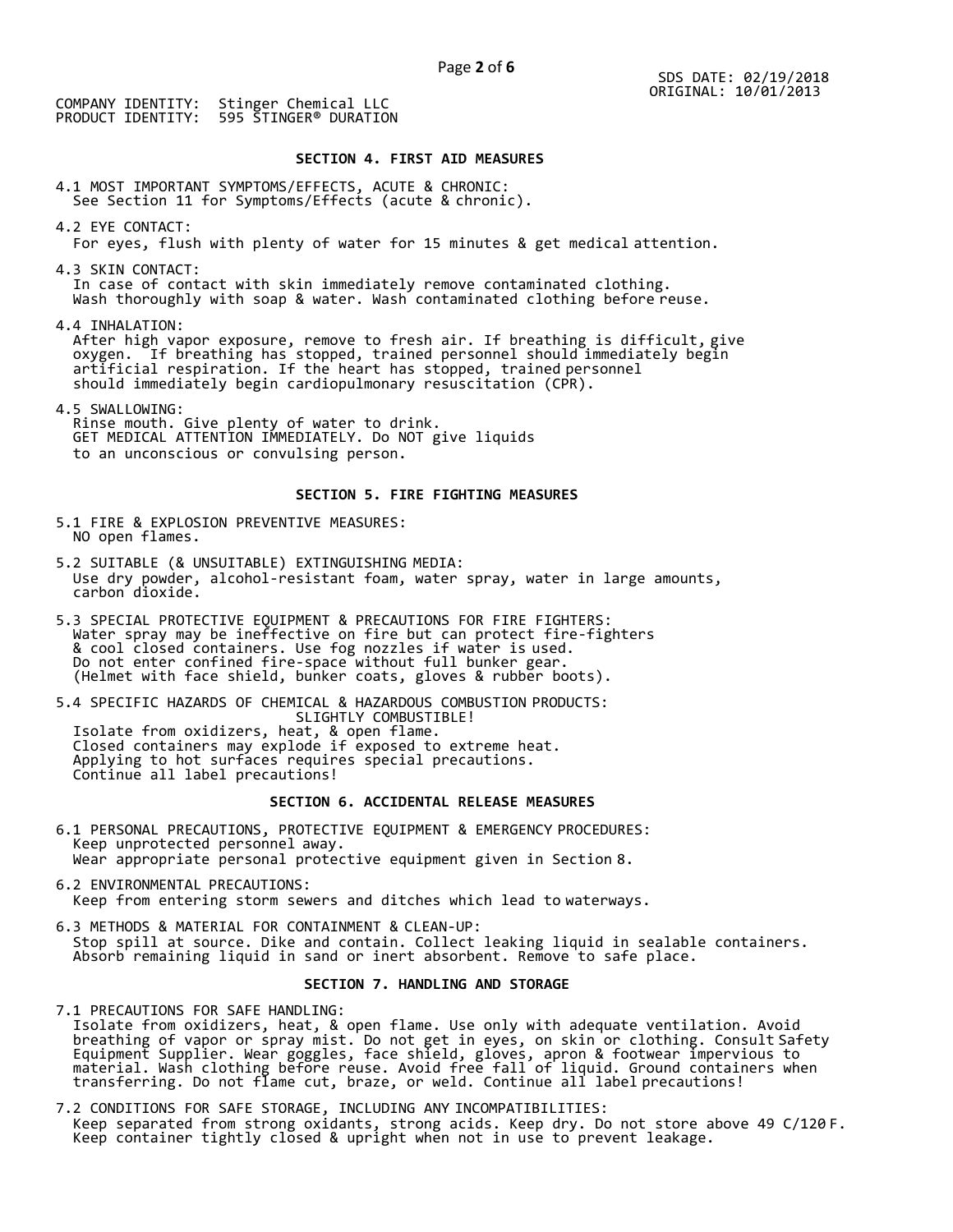## **SECTION 4. FIRST AID MEASURES**

4.1 MOST IMPORTANT SYMPTOMS/EFFECTS, ACUTE & CHRONIC: See Section 11 for Symptoms/Effects (acute & chronic).

4.2 EYE CONTACT:

For eyes, flush with plenty of water for 15 minutes & get medical attention.

4.3 SKIN CONTACT:

In case of contact with skin immediately remove contaminated clothing. Wash thoroughly with soap & water. Wash contaminated clothing before reuse.

4.4 INHALATION:

After high vapor exposure, remove to fresh air. If breathing is difficult, give oxygen. If breathing has stopped, trained personnel should immediately begin artificial respiration. If the heart has stopped, trained personnel should immediately begin cardiopulmonary resuscitation (CPR).

4.5 SWALLOWING: Rinse mouth. Give plenty of water to drink. GET MEDICAL ATTENTION IMMEDIATELY. Do NOT give liquids to an unconscious or convulsing person.

# **SECTION 5. FIRE FIGHTING MEASURES**

- 5.1 FIRE & EXPLOSION PREVENTIVE MEASURES: NO open flames.
- 5.2 SUITABLE (& UNSUITABLE) EXTINGUISHING MEDIA: Use dry powder, alcohol-resistant foam, water spray, water in large amounts, carbon dioxide.
- 5.3 SPECIAL PROTECTIVE EQUIPMENT & PRECAUTIONS FOR FIRE FIGHTERS: Water spray may be ineffective on fire but can protect fire-fighters & cool closed containers. Use fog nozzles if water is used. Do not enter confined fire-space without full bunker gear. (Helmet with face shield, bunker coats, gloves & rubber boots).

5.4 SPECIFIC HAZARDS OF CHEMICAL & HAZARDOUS COMBUSTION PRODUCTS: SLIGHTLY COMBUSTIBLE!

Isolate from oxidizers, heat, & open flame. Closed containers may explode if exposed to extreme heat. Applying to hot surfaces requires special precautions. Continue all label precautions!

## **SECTION 6. ACCIDENTAL RELEASE MEASURES**

- 6.1 PERSONAL PRECAUTIONS, PROTECTIVE EQUIPMENT & EMERGENCY PROCEDURES: Keep unprotected personnel away. Wear appropriate personal protective equipment given in Section 8.
- 6.2 ENVIRONMENTAL PRECAUTIONS: Keep from entering storm sewers and ditches which lead to waterways.
- 6.3 METHODS & MATERIAL FOR CONTAINMENT & CLEAN-UP: Stop spill at source. Dike and contain. Collect leaking liquid in sealable containers. Absorb remaining liquid in sand or inert absorbent. Remove to safe place.

## **SECTION 7. HANDLING AND STORAGE**

7.1 PRECAUTIONS FOR SAFE HANDLING: Isolate from oxidizers, heat, & open flame. Use only with adequate ventilation. Avoid breathing of vapor or spray mist. Do not get in eyes, on skin or clothing. Consult Safety Equipment Supplier. Wear goggles, face shield, gloves, apron & footwear impervious to material. Wash clothing before reuse. Avoid free fall of liquid. Ground containers when transferring. Do not flame cut, braze, or weld. Continue all label precautions!

7.2 CONDITIONS FOR SAFE STORAGE, INCLUDING ANY INCOMPATIBILITIES: Keep separated from strong oxidants, strong acids. Keep dry. Do not store above 49 C/120 F. Keep container tightly closed & upright when not in use to prevent leakage.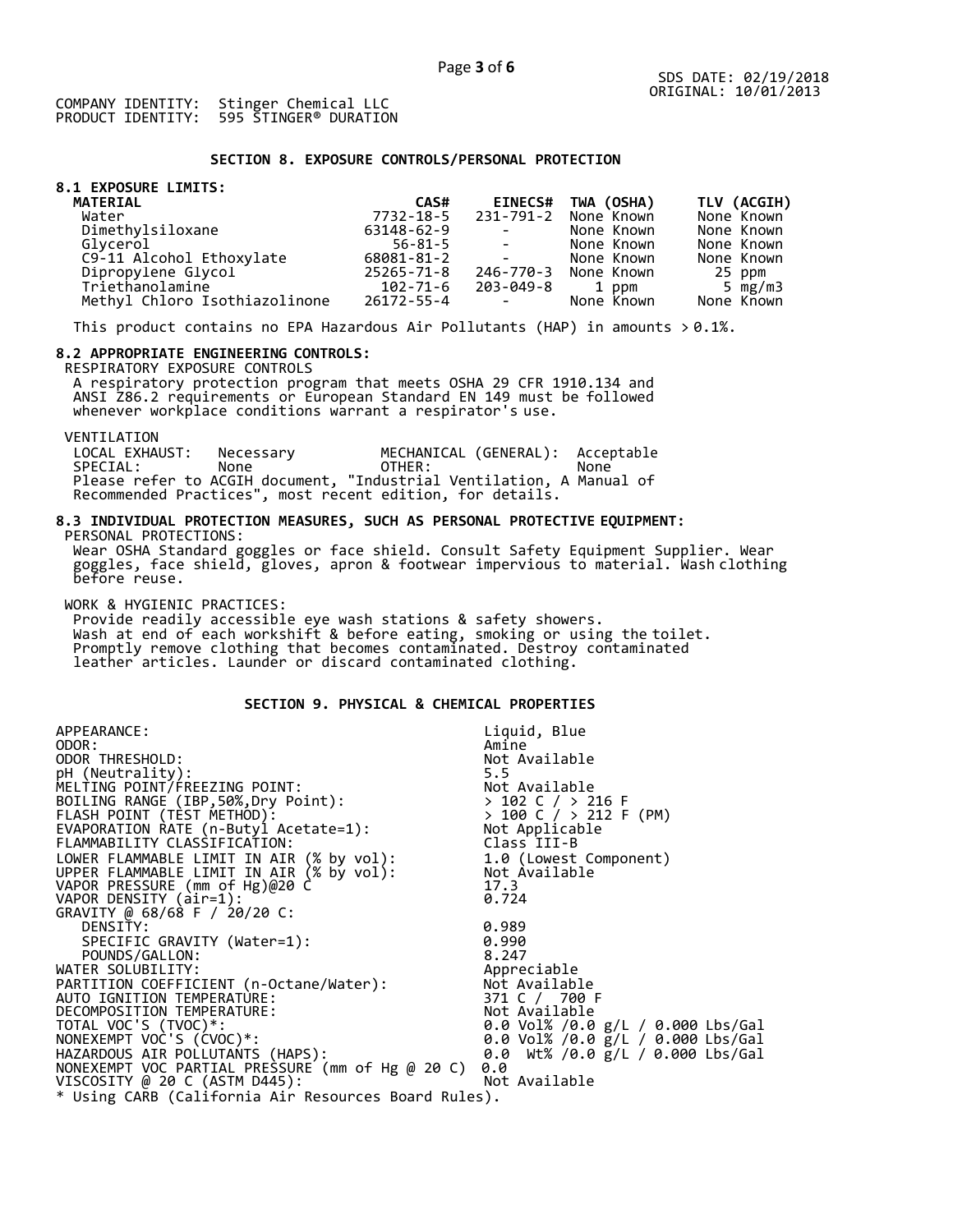## **SECTION 8. EXPOSURE CONTROLS/PERSONAL PROTECTION**

# **8.1 EXPOSURE LIMITS:**

| <b>MATERIAL</b>               | CAS#          |                                | EINECS# TWA (OSHA)   | TLV (ACGIH) |
|-------------------------------|---------------|--------------------------------|----------------------|-------------|
| Water                         | 7732-18-5     |                                | 231-791-2 None Known | None Known  |
| Dimethylsiloxane              | 63148-62-9    | <b>Contract Contract</b>       | None Known           | None Known  |
| Glvcerol                      | $56 - 81 - 5$ | <b>Contract Contract State</b> | None Known           | None Known  |
| C9-11 Alcohol Ethoxylate      | 68081-81-2    | <b>Contract Contract</b>       | None Known           | None Known  |
| Dipropylene Glycol            | 25265-71-8    | 246-770-3                      | None Known           | 25 ppm      |
| Triethanolamine               | 102-71-6      | 203-049-8                      | 1 ppm                | 5 $mg/m3$   |
| Methyl Chloro Isothiazolinone | 26172-55-4    | <b>Contract Contract</b>       | None Known           | None Known  |

This product contains no EPA Hazardous Air Pollutants (HAP) in amounts  $> 0.1\%$ .

## **8.2 APPROPRIATE ENGINEERING CONTROLS:**

RESPIRATORY EXPOSURE CONTROLS

A respiratory protection program that meets OSHA 29 CFR 1910.134 and ANSI Z86.2 requirements or European Standard EN 149 must be followed whenever workplace conditions warrant a respirator's use.

VENTILATION<br>LOCAL EXHAUST: LOCAL EXHAUST: Necessary MECHANICAL (GENERAL): Acceptable<br>SPECIAL: None OTHER: None SPECIAL: None OTHER: None Please refer to ACGIH document, "Industrial Ventilation, A Manual of Recommended Practices", most recent edition, for details.

#### **8.3 INDIVIDUAL PROTECTION MEASURES, SUCH AS PERSONAL PROTECTIVE EQUIPMENT:** PERSONAL PROTECTIONS:

Wear OSHA Standard goggles or face shield. Consult Safety Equipment Supplier. Wear goggles, face shield, gloves, apron & footwear impervious to material. Wash clothing before reuse.

WORK & HYGIENIC PRACTICES:

Provide readily accessible eye wash stations & safety showers. Wash at end of each workshift & before eating, smoking or using the toilet. Promptly remove clothing that becomes contaminated. Destroy contaminated leather articles. Launder or discard contaminated clothing.

# **SECTION 9. PHYSICAL & CHEMICAL PROPERTIES**

| APPEARANCE:                                                                                                               | Liquid, Blue                                |
|---------------------------------------------------------------------------------------------------------------------------|---------------------------------------------|
| ODOR:                                                                                                                     | Amine                                       |
| ODOR THRESHOLD:                                                                                                           | Not Available                               |
| pH (Neutrality):                                                                                                          | 5.5                                         |
| MELTING POINT/FREEZING POINT:                                                                                             | Not Available                               |
| BOILING RANGE (IBP, 50%, Dry Point):                                                                                      |                                             |
|                                                                                                                           | > 102 C / > 216 F<br>> 100 C / > 212 F (PM) |
| FLASH POINT (TÈST METHÓD):<br>EVAPORATION RATE (n-Butyl Acetate=1):                                                       | Not Applicable                              |
| FLAMMABILITY CLASSIFICATION:                                                                                              | Class III-B                                 |
| LOWER FLAMMABLE LIMIT IN AIR (% by vol): 1.0 (Lowest Component)<br>UPPER FLAMMABLE LIMIT IN AIR (% by vol): Not Available |                                             |
|                                                                                                                           |                                             |
|                                                                                                                           | 17.3                                        |
| VAPOR PRESSURE (mm of Hg)@20 C<br>VAPOR DENSITY (air=1):                                                                  | 0.724                                       |
| GRAVITY @ 68/68 F / 20/20 C:                                                                                              |                                             |
| DENSITY:                                                                                                                  | 0.989                                       |
| SPECIFIC GRAVITY (Water=1):                                                                                               | 0.990                                       |
| POUNDS/GALLON:                                                                                                            | 8.247                                       |
| WATER SOLUBILITY:                                                                                                         | Appreciable                                 |
| PARTITION COEFFICIENT (n-Octane/Water):                                                                                   | Not Available                               |
| AUTO IGNITION TEMPERATURE:                                                                                                | 371 C / 700 F                               |
| DECOMPOSITION TEMPERATURE:                                                                                                | Not Available                               |
| TOTAL VOC'S (TVOC)*:                                                                                                      | 0.0 Vol% /0.0 g/L / 0.000 Lbs/Gal           |
| NONEXEMPT VOC'S (CVOC)*:                                                                                                  | 0.0 Vol% /0.0 g/L / 0.000 Lbs/Gal           |
| HAZARDOUS AIR POLLUTANTS (HAPS):                                                                                          | 0.0 Wt% /0.0 g/L / 0.000 Lbs/Gal            |
| NONEXEMPT VOC PARTIAL PRESSURE (mm of Hg @ 20 C)                                                                          | 0.0                                         |
| VISCOSITY @ 20 C (ASTM D445):                                                                                             | Not Available                               |
| * Using CARB (California Air Resources Board Rules).                                                                      |                                             |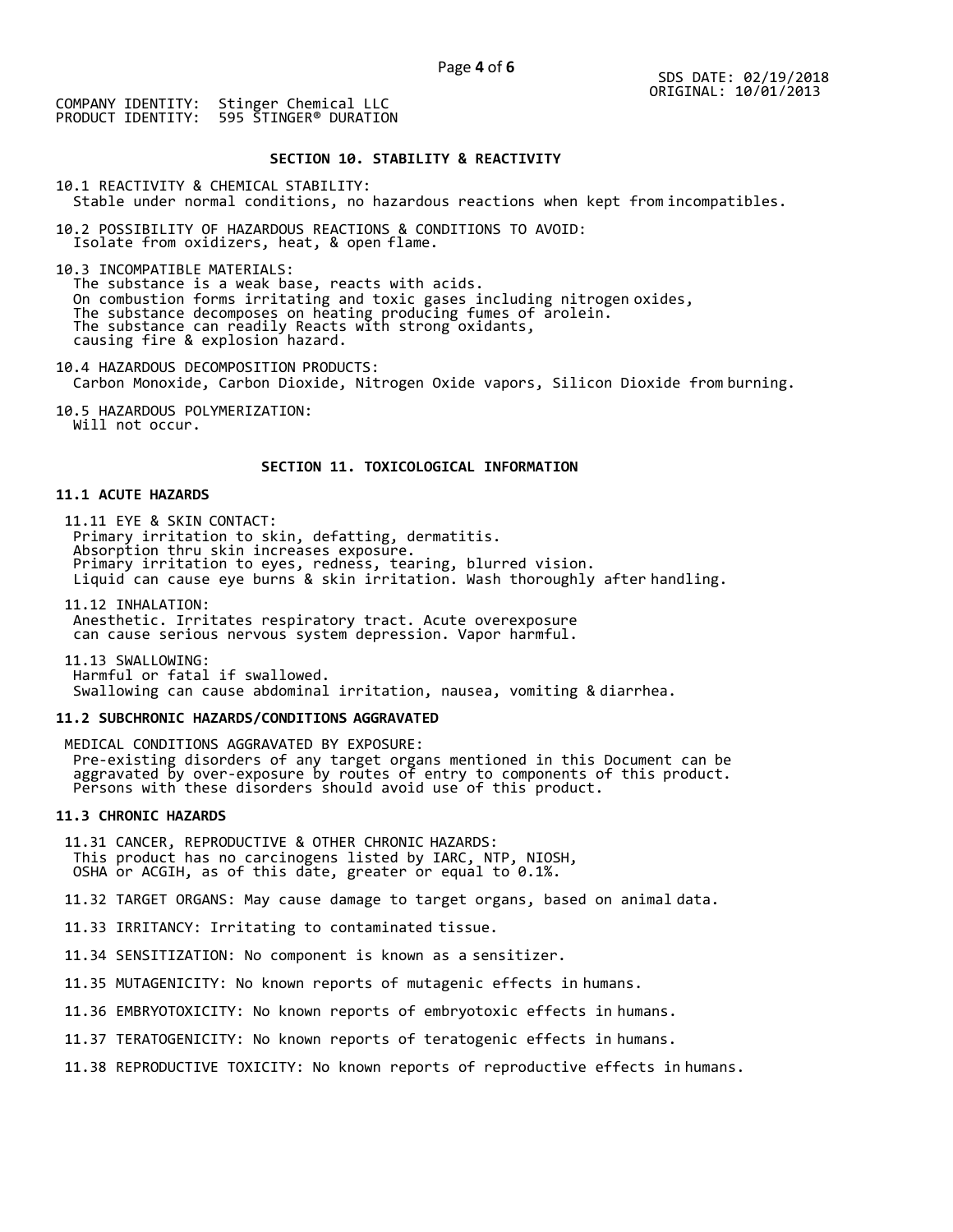## **SECTION 10. STABILITY & REACTIVITY**

10.1 REACTIVITY & CHEMICAL STABILITY:

Stable under normal conditions, no hazardous reactions when kept from incompatibles.

10.2 POSSIBILITY OF HAZARDOUS REACTIONS & CONDITIONS TO AVOID: Isolate from oxidizers, heat, & open flame.

10.3 INCOMPATIBLE MATERIALS:

The substance is a weak base, reacts with acids. On combustion forms irritating and toxic gases including nitrogen oxides, The substance decomposes on heating producing fumes of arolein. The substance can readily Reacts with strong oxidants, causing fire & explosion hazard.

10.4 HAZARDOUS DECOMPOSITION PRODUCTS: Carbon Monoxide, Carbon Dioxide, Nitrogen Oxide vapors, Silicon Dioxide from burning.

10.5 HAZARDOUS POLYMERIZATION: Will not occur.

## **SECTION 11. TOXICOLOGICAL INFORMATION**

## **11.1 ACUTE HAZARDS**

11.11 EYE & SKIN CONTACT: Primary irritation to skin, defatting, dermatitis. Absorption thru skin increases exposure. Primary irritation to eyes, redness, tearing, blurred vision. Liquid can cause eye burns & skin irritation. Wash thoroughly after handling.

11.12 INHALATION: Anesthetic. Irritates respiratory tract. Acute overexposure can cause serious nervous system depression. Vapor harmful.

11.13 SWALLOWING: Harmful or fatal if swallowed. Swallowing can cause abdominal irritation, nausea, vomiting & diarrhea.

## **11.2 SUBCHRONIC HAZARDS/CONDITIONS AGGRAVATED**

MEDICAL CONDITIONS AGGRAVATED BY EXPOSURE: Pre-existing disorders of any target organs mentioned in this Document can be aggravated by over-exposure by routes of entry to components of this product. Persons with these disorders should avoid use of this product.

## **11.3 CHRONIC HAZARDS**

11.31 CANCER, REPRODUCTIVE & OTHER CHRONIC HAZARDS: This product has no carcinogens listed by IARC, NTP, NIOSH, OSHA or ACGIH, as of this date, greater or equal to 0.1%.

11.32 TARGET ORGANS: May cause damage to target organs, based on animal data.

11.33 IRRITANCY: Irritating to contaminated tissue.

11.34 SENSITIZATION: No component is known as a sensitizer.

11.35 MUTAGENICITY: No known reports of mutagenic effects in humans.

11.36 EMBRYOTOXICITY: No known reports of embryotoxic effects in humans.

11.37 TERATOGENICITY: No known reports of teratogenic effects in humans.

11.38 REPRODUCTIVE TOXICITY: No known reports of reproductive effects in humans.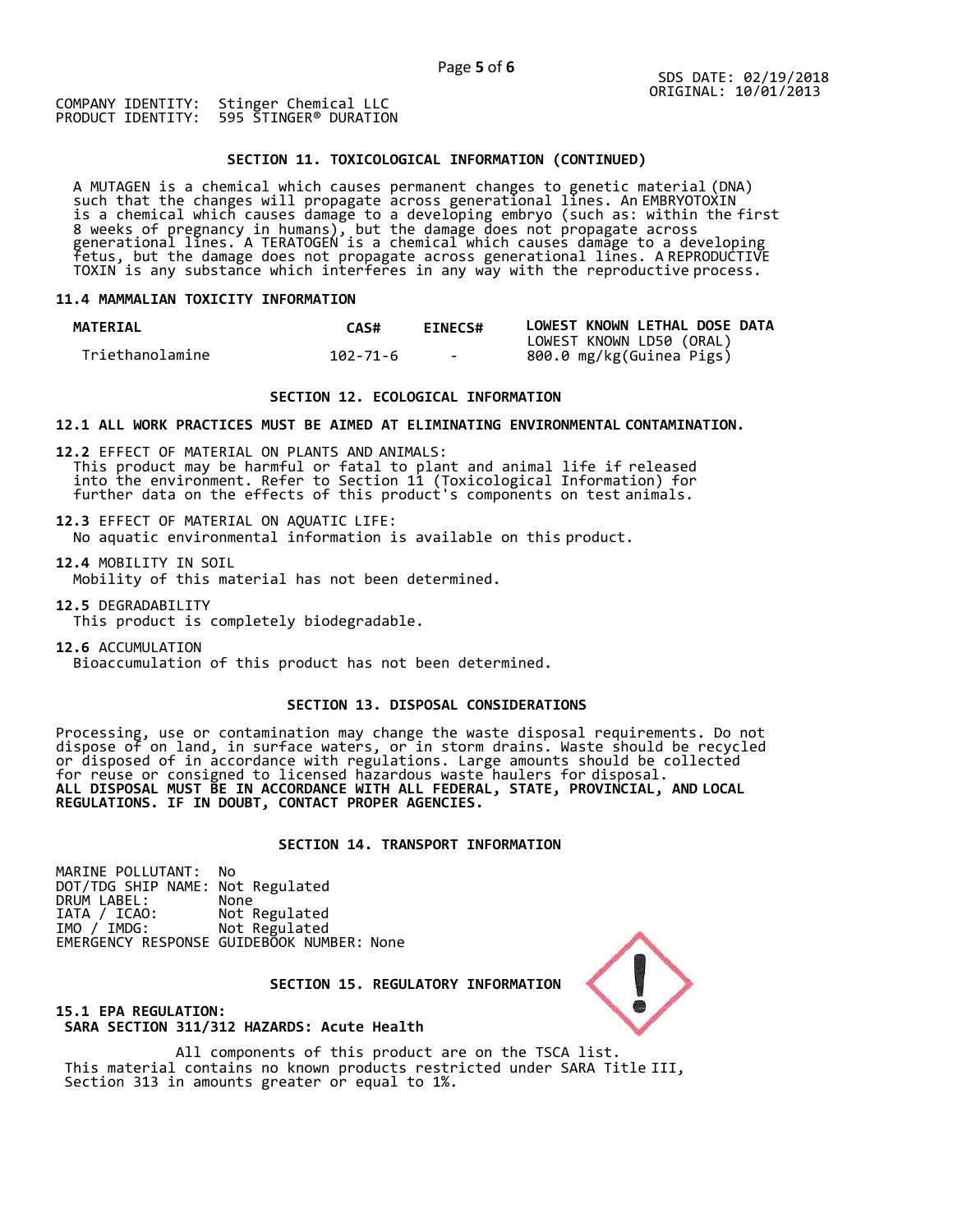## **SECTION 11. TOXICOLOGICAL INFORMATION (CONTINUED)**

A MUTAGEN is a chemical which causes permanent changes to genetic material (DNA) such that the changes will propagate across generational lines. An EMBRYOTOXIN is a chemical which causes damage to a developing embryo (such as: within the first 8 weeks of pregnancy in humans), but the damage does not propagate across generational lines. A TERATOGEN is a chemical which causes damage to a developing fetus, but the damage does not propagate across generational lines. A REPRODUCTIVE TOXIN is any substance which interferes in any way with the reproductive process.

## **11.4 MAMMALIAN TOXICITY INFORMATION**

| <b>MATERIAL</b> | CAS#     | <b>EINECS#</b> | LOWEST KNOWN LETHAL DOSE DATA |
|-----------------|----------|----------------|-------------------------------|
|                 |          |                | LOWEST KNOWN LD50 (ORAL)      |
| Triethanolamine | 102-71-6 | $\sim$ $\sim$  | 800.0 mg/kg(Guinea Pigs)      |

## **SECTION 12. ECOLOGICAL INFORMATION**

#### **12.1 ALL WORK PRACTICES MUST BE AIMED AT ELIMINATING ENVIRONMENTAL CONTAMINATION.**

**12.2** EFFECT OF MATERIAL ON PLANTS AND ANIMALS: This product may be harmful or fatal to plant and animal life if released into the environment. Refer to Section 11 (Toxicological Information) for further data on the effects of this product's components on test animals.

**12.3** EFFECT OF MATERIAL ON AQUATIC LIFE: No aquatic environmental information is available on this product.

**12.4** MOBILITY IN SOIL Mobility of this material has not been determined.

**12.5** DEGRADABILITY

This product is completely biodegradable.

**12.6** ACCUMULATION Bioaccumulation of this product has not been determined.

# **SECTION 13. DISPOSAL CONSIDERATIONS**

Processing, use or contamination may change the waste disposal requirements. Do not dispose of on land, in surface waters, or in storm drains. Waste should be recycled or disposed of in accordance with regulations. Large amounts should be collected for reuse or consigned to licensed hazardous waste haulers for disposal. **ALL DISPOSAL MUST BE IN ACCORDANCE WITH ALL FEDERAL, STATE, PROVINCIAL, AND LOCAL REGULATIONS. IF IN DOUBT, CONTACT PROPER AGENCIES.**

## **SECTION 14. TRANSPORT INFORMATION**

MARINE POLLUTANT: No DOT/TDG SHIP NAME: Not Regulated DRUM LABEL: None<br>IATA / ICAO: Not Regulated IATA / ICAO: IMO / IMDG: Not Regulated EMERGENCY RESPONSE GUIDEBOOK NUMBER: None



# **SECTION 15. REGULATORY INFORMATION**

# **15.1 EPA REGULATION: SARA SECTION 311/312 HAZARDS: Acute Health**

All components of this product are on the TSCA list. This material contains no known products restricted under SARA Title III, Section 313 in amounts greater or equal to 1%.